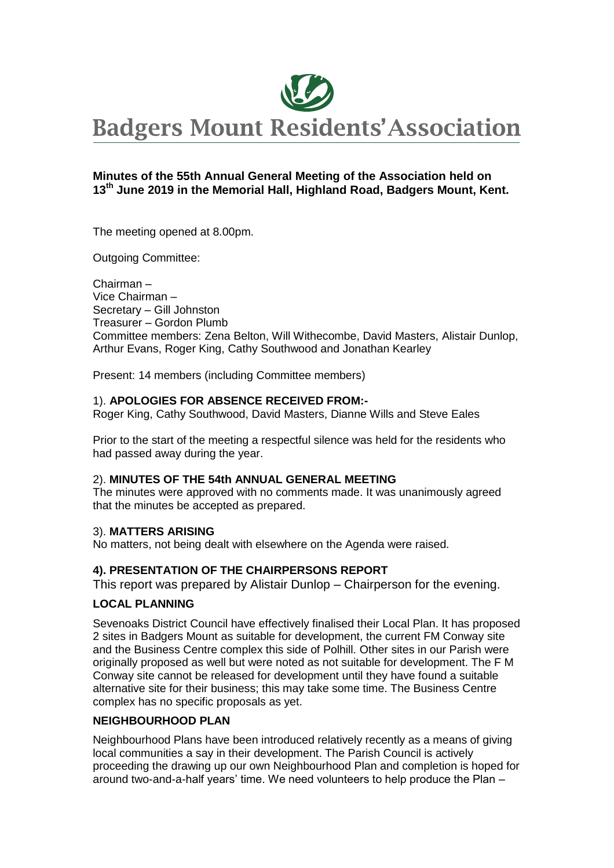

### **Minutes of the 55th Annual General Meeting of the Association held on 13 th June 2019 in the Memorial Hall, Highland Road, Badgers Mount, Kent.**

The meeting opened at 8.00pm.

Outgoing Committee:

Chairman – Vice Chairman – Secretary – Gill Johnston Treasurer – Gordon Plumb Committee members: Zena Belton, Will Withecombe, David Masters, Alistair Dunlop, Arthur Evans, Roger King, Cathy Southwood and Jonathan Kearley

Present: 14 members (including Committee members)

### 1). **APOLOGIES FOR ABSENCE RECEIVED FROM:-**

Roger King, Cathy Southwood, David Masters, Dianne Wills and Steve Eales

Prior to the start of the meeting a respectful silence was held for the residents who had passed away during the year.

#### 2). **MINUTES OF THE 54th ANNUAL GENERAL MEETING**

The minutes were approved with no comments made. It was unanimously agreed that the minutes be accepted as prepared.

### 3). **MATTERS ARISING**

No matters, not being dealt with elsewhere on the Agenda were raised.

### **4). PRESENTATION OF THE CHAIRPERSONS REPORT**

This report was prepared by Alistair Dunlop – Chairperson for the evening.

### **LOCAL PLANNING**

Sevenoaks District Council have effectively finalised their Local Plan. It has proposed 2 sites in Badgers Mount as suitable for development, the current FM Conway site and the Business Centre complex this side of Polhill. Other sites in our Parish were originally proposed as well but were noted as not suitable for development. The F M Conway site cannot be released for development until they have found a suitable alternative site for their business; this may take some time. The Business Centre complex has no specific proposals as yet.

### **NEIGHBOURHOOD PLAN**

Neighbourhood Plans have been introduced relatively recently as a means of giving local communities a say in their development. The Parish Council is actively proceeding the drawing up our own Neighbourhood Plan and completion is hoped for around two-and-a-half years' time. We need volunteers to help produce the Plan –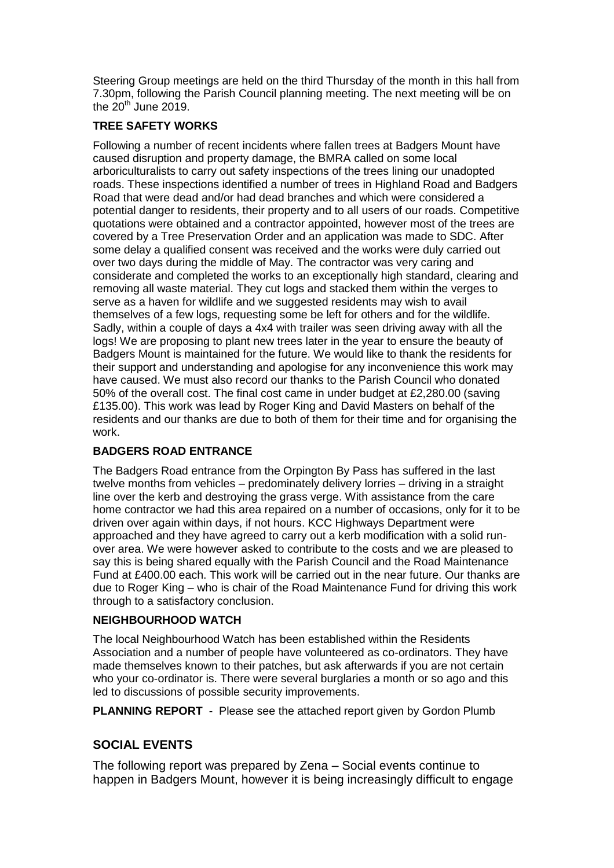Steering Group meetings are held on the third Thursday of the month in this hall from 7.30pm, following the Parish Council planning meeting. The next meeting will be on the  $20^{th}$  June 2019.

### **TREE SAFETY WORKS**

Following a number of recent incidents where fallen trees at Badgers Mount have caused disruption and property damage, the BMRA called on some local arboriculturalists to carry out safety inspections of the trees lining our unadopted roads. These inspections identified a number of trees in Highland Road and Badgers Road that were dead and/or had dead branches and which were considered a potential danger to residents, their property and to all users of our roads. Competitive quotations were obtained and a contractor appointed, however most of the trees are covered by a Tree Preservation Order and an application was made to SDC. After some delay a qualified consent was received and the works were duly carried out over two days during the middle of May. The contractor was very caring and considerate and completed the works to an exceptionally high standard, clearing and removing all waste material. They cut logs and stacked them within the verges to serve as a haven for wildlife and we suggested residents may wish to avail themselves of a few logs, requesting some be left for others and for the wildlife. Sadly, within a couple of days a 4x4 with trailer was seen driving away with all the logs! We are proposing to plant new trees later in the year to ensure the beauty of Badgers Mount is maintained for the future. We would like to thank the residents for their support and understanding and apologise for any inconvenience this work may have caused. We must also record our thanks to the Parish Council who donated 50% of the overall cost. The final cost came in under budget at £2,280.00 (saving £135.00). This work was lead by Roger King and David Masters on behalf of the residents and our thanks are due to both of them for their time and for organising the work.

# **BADGERS ROAD ENTRANCE**

The Badgers Road entrance from the Orpington By Pass has suffered in the last twelve months from vehicles – predominately delivery lorries – driving in a straight line over the kerb and destroying the grass verge. With assistance from the care home contractor we had this area repaired on a number of occasions, only for it to be driven over again within days, if not hours. KCC Highways Department were approached and they have agreed to carry out a kerb modification with a solid runover area. We were however asked to contribute to the costs and we are pleased to say this is being shared equally with the Parish Council and the Road Maintenance Fund at £400.00 each. This work will be carried out in the near future. Our thanks are due to Roger King – who is chair of the Road Maintenance Fund for driving this work through to a satisfactory conclusion.

### **NEIGHBOURHOOD WATCH**

The local Neighbourhood Watch has been established within the Residents Association and a number of people have volunteered as co-ordinators. They have made themselves known to their patches, but ask afterwards if you are not certain who your co-ordinator is. There were several burglaries a month or so ago and this led to discussions of possible security improvements.

**PLANNING REPORT** - Please see the attached report given by Gordon Plumb

# **SOCIAL EVENTS**

The following report was prepared by Zena – Social events continue to happen in Badgers Mount, however it is being increasingly difficult to engage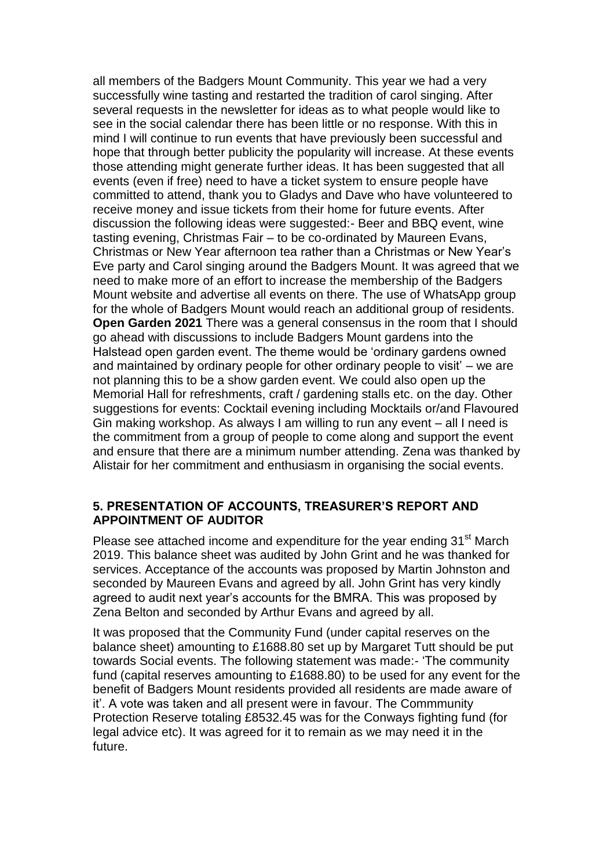all members of the Badgers Mount Community. This year we had a very successfully wine tasting and restarted the tradition of carol singing. After several requests in the newsletter for ideas as to what people would like to see in the social calendar there has been little or no response. With this in mind I will continue to run events that have previously been successful and hope that through better publicity the popularity will increase. At these events those attending might generate further ideas. It has been suggested that all events (even if free) need to have a ticket system to ensure people have committed to attend, thank you to Gladys and Dave who have volunteered to receive money and issue tickets from their home for future events. After discussion the following ideas were suggested:- Beer and BBQ event, wine tasting evening, Christmas Fair – to be co-ordinated by Maureen Evans, Christmas or New Year afternoon tea rather than a Christmas or New Year's Eve party and Carol singing around the Badgers Mount. It was agreed that we need to make more of an effort to increase the membership of the Badgers Mount website and advertise all events on there. The use of WhatsApp group for the whole of Badgers Mount would reach an additional group of residents. **Open Garden 2021** There was a general consensus in the room that I should go ahead with discussions to include Badgers Mount gardens into the Halstead open garden event. The theme would be 'ordinary gardens owned and maintained by ordinary people for other ordinary people to visit' – we are not planning this to be a show garden event. We could also open up the Memorial Hall for refreshments, craft / gardening stalls etc. on the day. Other suggestions for events: Cocktail evening including Mocktails or/and Flavoured Gin making workshop. As always I am willing to run any event – all I need is the commitment from a group of people to come along and support the event and ensure that there are a minimum number attending. Zena was thanked by Alistair for her commitment and enthusiasm in organising the social events.

### **5. PRESENTATION OF ACCOUNTS, TREASURER'S REPORT AND APPOINTMENT OF AUDITOR**

Please see attached income and expenditure for the year ending 31<sup>st</sup> March 2019. This balance sheet was audited by John Grint and he was thanked for services. Acceptance of the accounts was proposed by Martin Johnston and seconded by Maureen Evans and agreed by all. John Grint has very kindly agreed to audit next year's accounts for the BMRA. This was proposed by Zena Belton and seconded by Arthur Evans and agreed by all.

It was proposed that the Community Fund (under capital reserves on the balance sheet) amounting to £1688.80 set up by Margaret Tutt should be put towards Social events. The following statement was made:- 'The community fund (capital reserves amounting to £1688.80) to be used for any event for the benefit of Badgers Mount residents provided all residents are made aware of it'. A vote was taken and all present were in favour. The Commmunity Protection Reserve totaling £8532.45 was for the Conways fighting fund (for legal advice etc). It was agreed for it to remain as we may need it in the future.